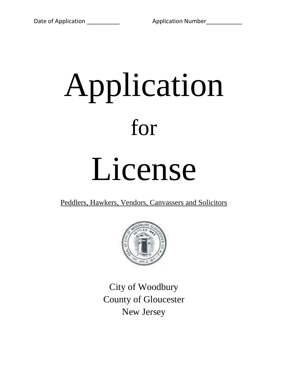# Application for

## License

Peddlers, Hawkers, Vendors, Canvassers and Solicitors



City of Woodbury County of Gloucester New Jersey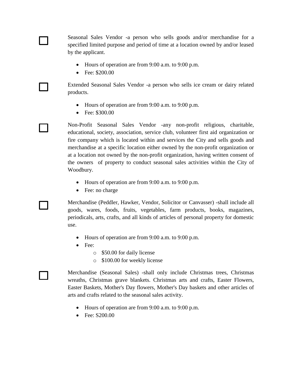Seasonal Sales Vendor -a person who sells goods and/or merchandise for a specified limited purpose and period of time at a location owned by and/or leased by the applicant.

- Hours of operation are from 9:00 a.m. to 9:00 p.m.
- Fee: \$200.00

Extended Seasonal Sales Vendor -a person who sells ice cream or dairy related products.

- Hours of operation are from 9:00 a.m. to 9:00 p.m.
- Fee: \$300.00

- 1

Non-Profit Seasonal Sales Vendor -any non-profit religious, charitable, educational, society, association, service club, volunteer first aid organization or fire company which is located within and services the City and sells goods and merchandise at a specific location either owned by the non-profit organization or at a location not owned by the non-profit organization, having written consent of the owners of property to conduct seasonal sales activities within the City of Woodbury.

- Hours of operation are from 9:00 a.m. to 9:00 p.m.
- Fee: no charge

Merchandise (Peddler, Hawker, Vendor, Solicitor or Canvasser) -shall include all goods, wares, foods, fruits, vegetables, farm products, books, magazines, periodicals, arts, crafts, and all kinds of articles of personal property for domestic use.

- Hours of operation are from 9:00 a.m. to 9:00 p.m.
- Fee:
	- o \$50.00 for daily license
	- o \$100.00 for weekly license

Merchandise (Seasonal Sales) -shall only include Christmas trees, Christmas wreaths, Christmas grave blankets. Christmas arts and crafts, Easter Flowers, Easter Baskets, Mother's Day flowers, Mother's Day baskets and other articles of arts and crafts related to the seasonal sales activity.

- Hours of operation are from 9:00 a.m. to 9:00 p.m.
- Fee: S200.00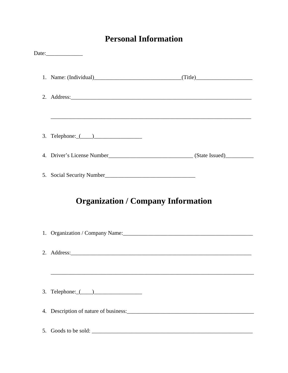#### **Personal Information**

| ,我们也不会有什么。""我们的人,我们也不会有什么?""我们的人,我们也不会有什么?""我们的人,我们的人,我们也不会有什么?""我们的人,我们的人,我们的人,我                             |
|---------------------------------------------------------------------------------------------------------------|
|                                                                                                               |
|                                                                                                               |
|                                                                                                               |
| <b>Organization / Company Information</b>                                                                     |
| 1. Organization / Company Name: 1. 2010 12:2010 12:2010 12:2010 12:2010 12:2010 12:2010 12:2010 12:2010 12:20 |
|                                                                                                               |
| 3. Telephone: $($ $)$                                                                                         |
|                                                                                                               |
|                                                                                                               |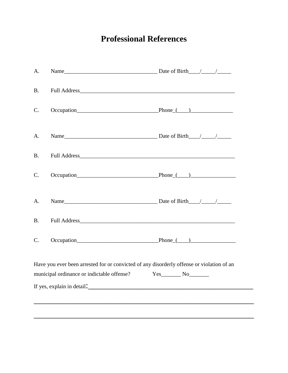### **Professional References**

| A.          |                                                                                           |                            |
|-------------|-------------------------------------------------------------------------------------------|----------------------------|
| <b>B.</b>   |                                                                                           |                            |
| $C_{\cdot}$ |                                                                                           | $Occupation$ Phone $($ $)$ |
| A.          |                                                                                           |                            |
| <b>B.</b>   |                                                                                           |                            |
| $C_{\cdot}$ |                                                                                           | $Occupation$ Phone $($ $)$ |
| A.          |                                                                                           |                            |
| <b>B.</b>   |                                                                                           |                            |
| C.          |                                                                                           | $Occupation$ Phone $($ $)$ |
|             | Have you ever been arrested for or convicted of any disorderly offense or violation of an |                            |
|             | municipal ordinance or indictable offense?                                                | $Yes$ No                   |
|             | If yes, explain in detail.                                                                |                            |
|             |                                                                                           |                            |
|             |                                                                                           |                            |
|             |                                                                                           |                            |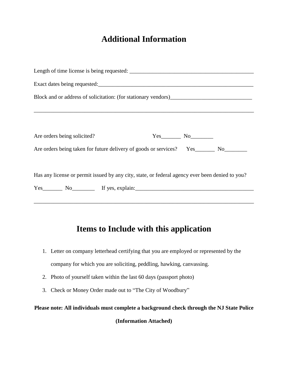#### **Additional Information**

|  |  | $Yes$ No $\qquad$<br>Are orders being taken for future delivery of goods or services? Yes_________ No_________<br>Has any license or permit issued by any city, state, or federal agency ever been denied to you?<br>Yes No If yes, explain: |  |  |  |
|--|--|----------------------------------------------------------------------------------------------------------------------------------------------------------------------------------------------------------------------------------------------|--|--|--|

#### **Items to Include with this application**

- 1. Letter on company letterhead certifying that you are employed or represented by the company for which you are soliciting, peddling, hawking, canvassing.
- 2. Photo of yourself taken within the last 60 days (passport photo)
- 3. Check or Money Order made out to "The City of Woodbury"

**Please note: All individuals must complete a background check through the NJ State Police** 

**(Information Attached)**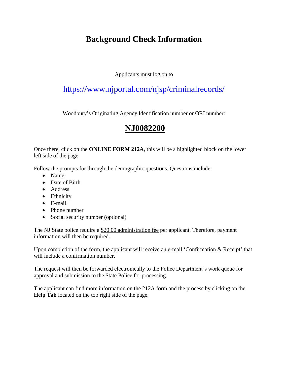#### **Background Check Information**

Applicants must log on to

#### <https://www.njportal.com/njsp/criminalrecords/>

Woodbury's Originating Agency Identification number or ORI number:

#### **NJ0082200**

Once there, click on the **ONLINE FORM 212A**, this will be a highlighted block on the lower left side of the page.

Follow the prompts for through the demographic questions. Questions include:

- Name
- Date of Birth
- Address
- Ethnicity
- E-mail
- Phone number
- Social security number (optional)

The NJ State police require a \$20.00 administration fee per applicant. Therefore, payment information will then be required.

Upon completion of the form, the applicant will receive an e-mail 'Confirmation & Receipt' that will include a confirmation number.

The request will then be forwarded electronically to the Police Department's work queue for approval and submission to the State Police for processing.

The applicant can find more information on the 212A form and the process by clicking on the **Help Tab** located on the top right side of the page.